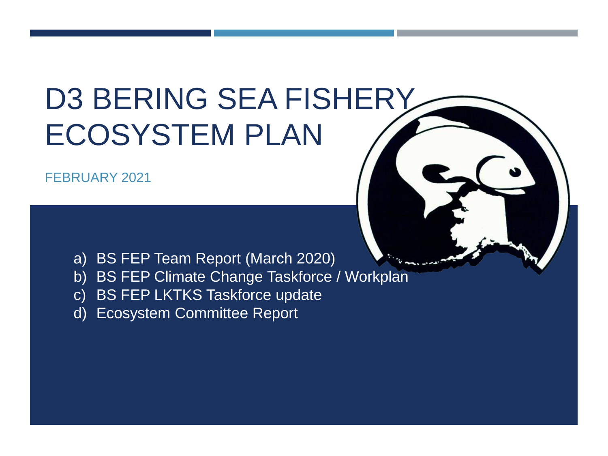# D3 BERING SEA FISHERY ECOSYSTEM PLAN

FEBRUARY 2021



- a) BS FEP Team Report (March 2020)
- b) BS FEP Climate Change Taskforce / Workplan
- c) BS FEP LKTKS Taskforce update
- d) Ecosystem Committee Report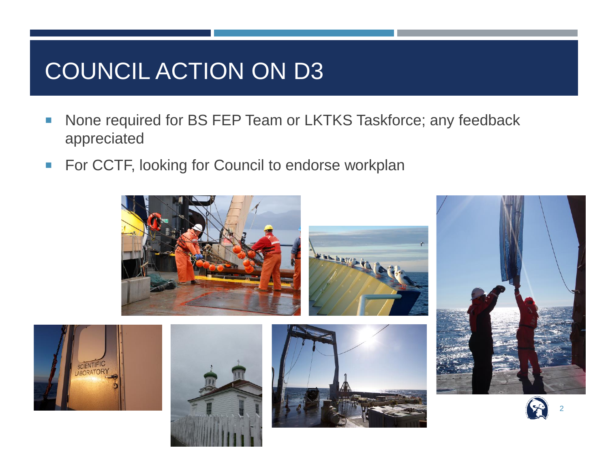## COUNCIL ACTION ON D3

- None required for BS FEP Team or LKTKS Taskforce; any feedback appreciated
- For CCTF, looking for Council to endorse workplan

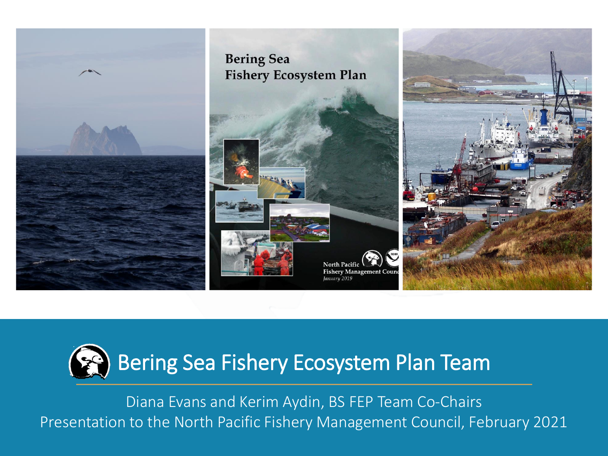



Diana Evans and Kerim Aydin, BS FEP Team Co-Chairs Presentation to the North Pacific Fishery Management Council, February 2021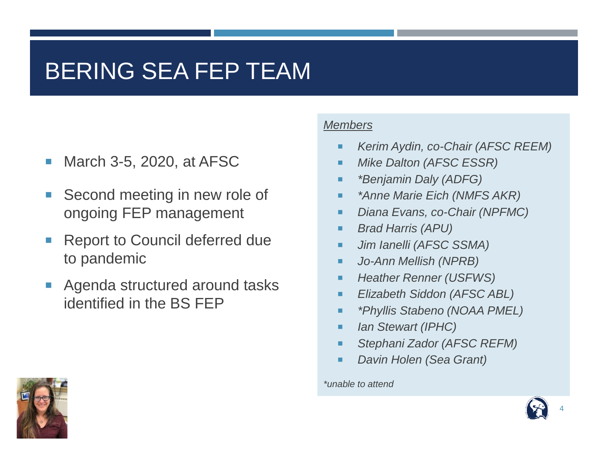## BERING SEA FEP TEAM

- **March 3-5, 2020, at AFSC**
- Second meeting in new role of ongoing FEP management
- Report to Council deferred due to pandemic
- **Agenda structured around tasks** identified in the BS FEP

#### *Members*

- *Kerim Aydin, co-Chair (AFSC REEM)*
- *Mike Dalton (AFSC ESSR)*
- *\*Benjamin Daly (ADFG)*
- *\*Anne Marie Eich (NMFS AKR)*
- *Diana Evans, co-Chair (NPFMC)*
- *Brad Harris (APU)*
- *Jim Ianelli (AFSC SSMA)*
- *Jo-Ann Mellish (NPRB)*
- *Heather Renner (USFWS)*
- *Elizabeth Siddon (AFSC ABL)*
- *\*Phyllis Stabeno (NOAA PMEL)*
- *Ian Stewart (IPHC)*
- *Stephani Zador (AFSC REFM)*
- *Davin Holen (Sea Grant)*

#### *\*unable to attend*



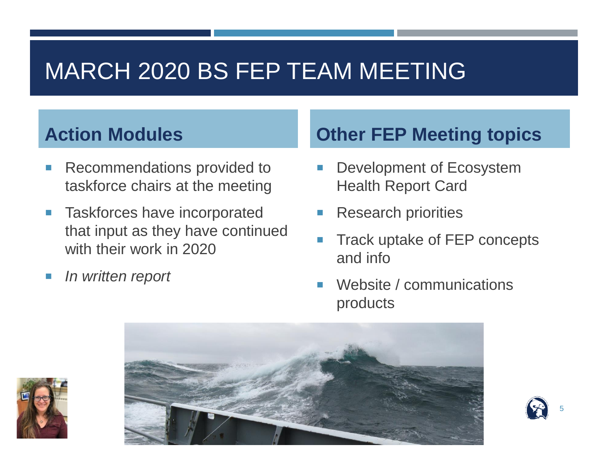## MARCH 2020 BS FEP TEAM MEETING

### **Action Modules**

- **Recommendations provided to** taskforce chairs at the meeting
- **Taskforces have incorporated** that input as they have continued with their work in 2020
- *In written report*

### **Other FEP Meeting topics**

- Development of Ecosystem Health Report Card
- Research priorities
- Track uptake of FEP concepts and info

5

 Website / communications products



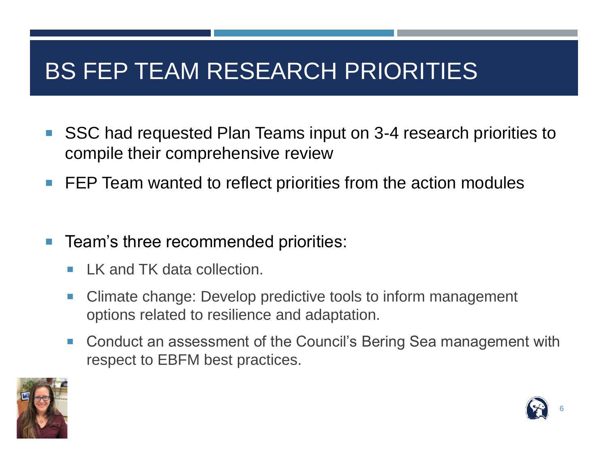## BS FEP TEAM RESEARCH PRIORITIES

- SSC had requested Plan Teams input on 3-4 research priorities to compile their comprehensive review
- **FEP Team wanted to reflect priorities from the action modules**
- Team's three recommended priorities:
	- **LK and TK data collection.**
	- Climate change: Develop predictive tools to inform management options related to resilience and adaptation.
	- Conduct an assessment of the Council's Bering Sea management with respect to EBFM best practices.



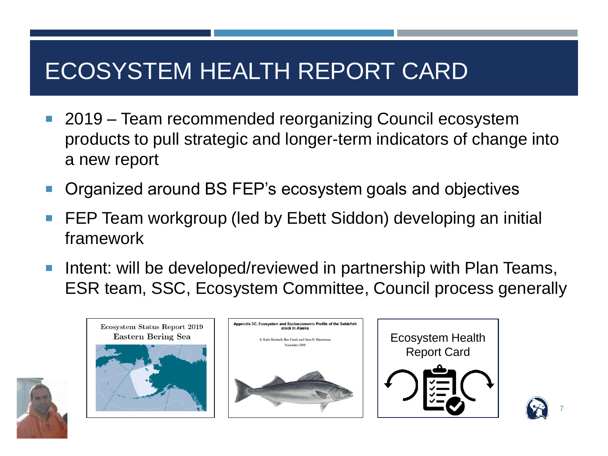## ECOSYSTEM HEALTH REPORT CARD

- 2019 Team recommended reorganizing Council ecosystem products to pull strategic and longer-term indicators of change into a new report
- Organized around BS FEP's ecosystem goals and objectives
- FEP Team workgroup (led by Ebett Siddon) developing an initial framework
- **Intent: will be developed/reviewed in partnership with Plan Teams,** ESR team, SSC, Ecosystem Committee, Council process generally



Ecosystem Status Report 2019





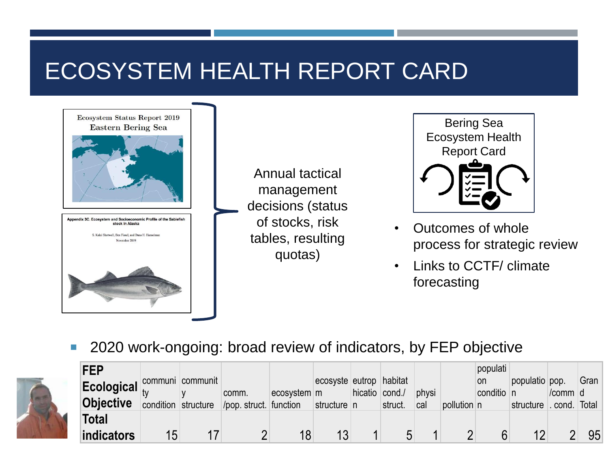## ECOSYSTEM HEALTH REPORT CARD

Ecosystem Status Report 2019 **Eastern Bering Sea** Appendix 3C. Ecosystem and Socioeconomic Profile of the stock in Alaska S. Kalei Shotwell, Ben Fissel, and Dana H. Hanselma

Annual tactical management decisions (status of stocks, risk tables, resulting quotas)

Bering Sea Ecosystem Health Report Card

- Outcomes of whole process for strategic review
- Links to CCTF/ climate forecasting

■ 2020 work-ongoing: broad review of indicators, by FEP objective



| <b>FEP</b><br>Ecological communi communit<br><b>Objective</b> |    | condition structure | comm.<br>pop. struct. function | ecosystem m | ecosyste eutrop<br>structure n | hicatio cond./ | habitat<br>struct. | physi<br>cal | pollution n | populati<br>on<br>conditio n | populatio pop.<br>structure . cond. Total | /comm d | Gran |
|---------------------------------------------------------------|----|---------------------|--------------------------------|-------------|--------------------------------|----------------|--------------------|--------------|-------------|------------------------------|-------------------------------------------|---------|------|
| <b>Total</b><br><b>indicators</b>                             | 15 |                     |                                |             | 13                             |                |                    |              |             |                              | 12                                        |         | 95   |